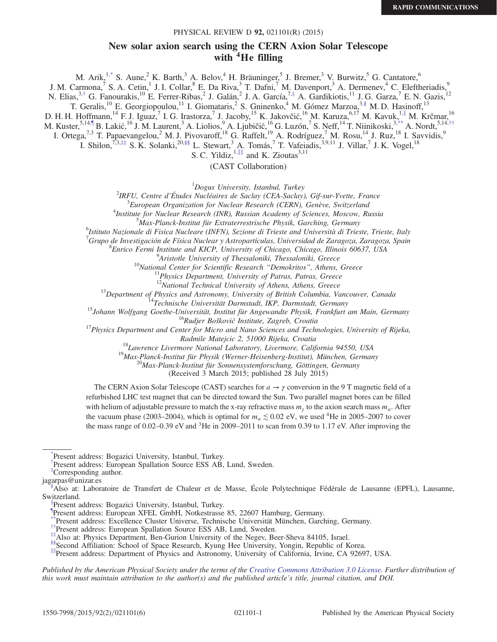# with <sup>4</sup>He filling PHYSICAL REVIEW D 92, 021101(R) (2015)<br>New solar axion search using the CERN Axion Solar Telescope

<span id="page-0-17"></span><span id="page-0-16"></span><span id="page-0-15"></span><span id="page-0-14"></span><span id="page-0-13"></span><span id="page-0-12"></span><span id="page-0-11"></span>M. Arik,<sup>1[,\\*](#page-0-0)</sup> S. Aune,<sup>2</sup> K. Barth,<sup>3</sup> A. Belov,<sup>4</sup> H. Bräuninger,<sup>5</sup> J. Bremer,<sup>3</sup> V. Burwitz,<sup>5</sup> G. Cantatore,<sup>6</sup> J. M. Carmona,<sup>7</sup> S. A. Cetin,<sup>1</sup> J. I. Collar,<sup>8</sup> E. Da Riva,<sup>3</sup> T. Dafni,<sup>7</sup> M. Davenport,<sup>3</sup> A. Dermenev,<sup>4</sup> C. Eleftheriadis,<sup>9</sup> N. Elias,<sup>3,[†](#page-0-1)</sup> G. Fanourakis,<sup>10</sup> E. Ferrer-Ribas,<sup>2</sup> J. Galán,<sup>2</sup> J. A. García,<sup>7,[‡](#page-0-2)</sup> A. Gardikiotis,<sup>11</sup> J. G. Garza,<sup>7</sup> E. N. Gazis,<sup>12</sup> T. Geralis,<sup>10</sup> E. Georgiopoulou,<sup>11</sup> I. Giomataris,<sup>2</sup> S. Gninenko,<sup>4</sup> M. Gómez Marzoa,<sup>[3,§](#page-0-3)</sup> M. D. Hasinoff,<sup>13</sup> D. H. H. Hoffmann,<sup>14</sup> F. J. Iguaz,<sup>7</sup> I. G. Irastorza,<sup>7</sup> J. Jacoby,<sup>15</sup> K. Jakovčić,<sup>16</sup> M. Karuza,<sup>6,17</sup> M. Kavuk,<sup>1,[∥](#page-0-4)</sup> M. Krčmar,<sup>16</sup> M. Kuster,<sup>5,14[,¶](#page-0-5)</sup> B. Lakić,<sup>16</sup> J. M. Laurent,<sup>3</sup> A. Liolios,<sup>9</sup> A. Ljubičić,<sup>16</sup> G. Luzón,<sup>7</sup> S. Neff,<sup>14</sup> T. Niinikoski,<sup>[3,\\*\\*](#page-0-6)</sup> A. Nordt,<sup>5,14,[††](#page-0-7)</sup> I. Ortega,<sup>7,3</sup> T. Papaevangelou,<sup>2</sup> M. J. Pivovaroff,<sup>18</sup> G. Raffelt,<sup>19</sup> A. Rodríguez,<sup>7</sup> M. Rosu,<sup>14</sup> J. Ruz,<sup>18</sup> I. Savvidis,<sup>9</sup> I. Shilon,<sup>7,3,[‡‡](#page-0-8)</sup> S. K. Solanki,<sup>2[0,§§](#page-0-9)</sup> L. Stewart,<sup>3</sup> A. Tomás,<sup>7</sup> T. Vafeiadis,<sup>3,9,11</sup> J. Villar,<sup>7</sup> J. K. Vogel,<sup>18</sup>

S. C. Yildiz, $1,$ ||∥ and K. Zioutas $3,11$ 

(CAST Collaboration)

 $1$ Dogus University, Istanbul, Turkey Dogus University, Istanbul, Turkey<sup>1</sup><br><sup>2</sup>IPEU Cantre d'Études Nucléaires de Saelay (CEA Saelay

IRFU, Centre d'Études Nucléaires de Saclay (CEA-Saclay), Gif-sur-Yvette, France <sup>3</sup>

 ${}^{3}$ European Organization for Nuclear Research (CERN), Genève, Switzerland

<sup>4</sup>Institute for Nuclear Research (INR), Russian Academy of Sciences, Moscow, Russia

 $5$ Max-Planck-Institut für Extraterrestrische Physik, Garching, Germany

<sup>6</sup>Istituto Nazionale di Fisica Nucleare (INFN), Sezione di Trieste and Università di Trieste, Trieste, Italy

<sup>7</sup>Grupo de Investigación de Física Nuclear y Astropartículas, Universidad de Zaragoza, Zaragoza, Spain <sup>8</sup> Eurice Fermi Institute and *VIC*P University of Chicago Chicago Illinois 60637, USA

<sup>8</sup> Enrico Fermi Institute and KICP, University of Chicago, Chicago, Illinois 60637, USA<br><sup>9</sup> Aristotle University of Thessaloniki, Thessaloniki, Greece

<sup>10</sup>National Center for Scientific Research "Demokritos", Athens, Greece  $11$ Physics Department, University of Patras, Patras, Greece  $12$ National Technical University of Athens, Athens, Greece

<sup>13</sup>Department of Physics and Astronomy, University of British Columbia, Vancouver, Canada<br><sup>14</sup>Technische Universität Darmstadt, IKP, Darmstadt, Germany<br><sup>15</sup>Johann Wolfgang Goethe-Universität, Institut für Angewandte Phys

<sup>18</sup>Lawrence Livermore National Laboratory, Livermore, California 94550, USA<br><sup>19</sup>Max-Planck-Institut für Physik (Werner-Heisenberg-Institut), München, Germany<br><sup>20</sup>Max-Planck-Institut für Sonnensystemforschung, Göttingen,

(Received 3 March 2015; published 28 July 2015)

The CERN Axion Solar Telescope (CAST) searches for  $a \rightarrow \gamma$  conversion in the 9 T magnetic field of a refurbished LHC test magnet that can be directed toward the Sun. Two parallel magnet bores can be filled with helium of adjustable pressure to match the x-ray refractive mass  $m<sub>y</sub>$  to the axion search mass  $m<sub>a</sub>$ . After the vacuum phase (2003–2004), which is optimal for  $m_a \lesssim 0.02$  eV, we used <sup>4</sup>He in 2005–2007 to cover the mass range of 0.02–0.39 eV and  ${}^{3}$ He in 2009–2011 to scan from 0.39 to 1.17 eV. After improving the

Published by the American Physical Society under the terms of the [Creative Commons Attribution 3.0 License](http://creativecommons.org/licenses/by/3.0/). Further distribution of this work must maintain attribution to the author(s) and the published article's title, journal citation, and DOI.

<span id="page-0-0"></span>[<sup>\\*</sup>](#page-0-11) Present address: Bogazici University, Istanbul, Turkey.

<span id="page-0-1"></span>[<sup>†</sup>](#page-0-12) Present address: European Spallation Source ESS AB, Lund, Sweden.

<span id="page-0-2"></span>[<sup>‡</sup>](#page-0-12) Corresponding author.

jagarpas@unizar.es

<span id="page-0-3"></span>Also at: Laboratoire de Transfert de Chaleur et de Masse, École Polytechnique Fédérale de Lausanne (EPFL), Lausanne, Switzerland.

<span id="page-0-4"></span>[<sup>∥</sup>](#page-0-14) Present address: Bogazici University, Istanbul, Turkey.

<span id="page-0-5"></span>[<sup>¶</sup>](#page-0-15) Present address: European XFEL GmbH, Notkestrasse 85, 22607 Hamburg, Germany.

<span id="page-0-7"></span><span id="page-0-6"></span>[<sup>\\*\\*</sup>P](#page-0-15)resent address: Excellence Cluster Universe, Technische Universität München, Garching, Germany.<br>\*\*Present address: European Spallation Source ESS AB, Lund, Sweden.<br>\*\*Also at: Physics Department, Ben-Gurion University of

<span id="page-0-9"></span><span id="page-0-8"></span>

<span id="page-0-10"></span>[<sup>∥∥</sup>](#page-0-17)Present address: Department of Physics and Astronomy, University of California, Irvine, CA 92697, USA.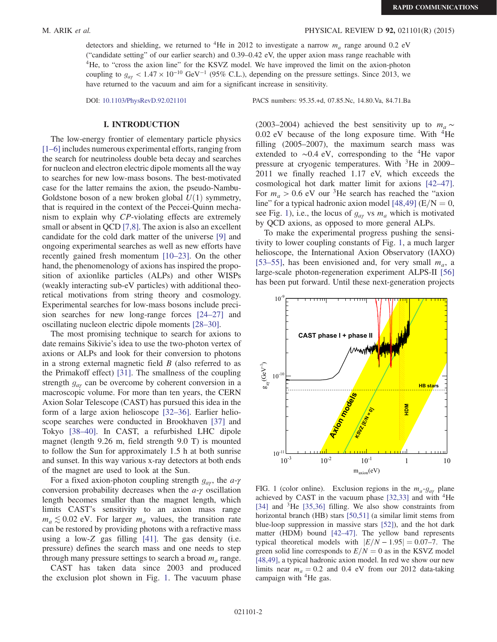### M. ARIK et al. PHYSICAL REVIEW D 92, 021101(R) (2015)

detectors and shielding, we returned to <sup>4</sup>He in 2012 to investigate a narrow  $m_a$  range around 0.2 eV ("candidate setting" of our earlier search) and 0.39–0.42 eV, the upper axion mass range reachable with <sup>4</sup>He, to "cross the axion line" for the KSVZ model. We have improved the limit on the axion-photon coupling to  $g_{\alpha\gamma}$  < 1.47 × 10<sup>-10</sup> GeV<sup>-1</sup> (95% C.L.), depending on the pressure settings. Since 2013, we have returned to the vacuum and aim for a significant increase in sensitivity.

DOI: [10.1103/PhysRevD.92.021101](http://dx.doi.org/10.1103/PhysRevD.92.021101) PACS numbers: 95.35.+d, 07.85.Nc, 14.80.Va, 84.71.Ba

## <u>I. I. I. II. I. I. I. II</u>.

The low-energy frontier of elementary particle physics [\[1](#page-4-0)–6] includes numerous experimental efforts, ranging from the search for neutrinoless double beta decay and searches for nucleon and electron electric dipole moments all the way to searches for new low-mass bosons. The best-motivated case for the latter remains the axion, the pseudo-Nambu-Goldstone boson of a new broken global  $U(1)$  symmetry, that is required in the context of the Peccei-Quinn mechanism to explain why CP-violating effects are extremely small or absent in QCD [\[7,8\].](#page-4-1) The axion is also an excellent candidate for the cold dark matter of the universe [\[9\]](#page-4-2) and ongoing experimental searches as well as new efforts have recently gained fresh momentum [\[10](#page-4-3)–23]. On the other hand, the phenomenology of axions has inspired the proposition of axionlike particles (ALPs) and other WISPs (weakly interacting sub-eV particles) with additional theoretical motivations from string theory and cosmology. Experimental searches for low-mass bosons include precision searches for new long-range forces [\[24](#page-5-0)–27] and oscillating nucleon electric dipole moments [\[28](#page-5-1)–30].

The most promising technique to search for axions to date remains Sikivie's idea to use the two-photon vertex of axions or ALPs and look for their conversion to photons in a strong external magnetic field B (also referred to as the Primakoff effect) [\[31\]](#page-5-2). The smallness of the coupling strength  $g_{a\gamma}$  can be overcome by coherent conversion in a macroscopic volume. For more than ten years, the CERN Axion Solar Telescope (CAST) has pursued this idea in the form of a large axion helioscope [\[32](#page-5-3)–36]. Earlier helioscope searches were conducted in Brookhaven [\[37\]](#page-5-4) and Tokyo [\[38](#page-5-5)–40]. In CAST, a refurbished LHC dipole magnet (length 9.26 m, field strength 9.0 T) is mounted to follow the Sun for approximately 1.5 h at both sunrise and sunset. In this way various x-ray detectors at both ends of the magnet are used to look at the Sun.

For a fixed axion-photon coupling strength  $g_{av}$ , the  $a-\gamma$ conversion probability decreases when the a-γ oscillation length becomes smaller than the magnet length, which limits CAST's sensitivity to an axion mass range  $m_a \lesssim 0.02$  eV. For larger  $m_a$  values, the transition rate can be restored by providing photons with a refractive mass using a low-Z gas filling [\[41\].](#page-5-6) The gas density (i.e. pressure) defines the search mass and one needs to step through many pressure settings to search a broad  $m_a$  range.

CAST has taken data since 2003 and produced the exclusion plot shown in Fig. [1](#page-1-0). The vacuum phase (2003–2004) achieved the best sensitivity up to  $m_a \sim$  $0.02$  eV because of the long exposure time. With  ${}^{4}$ He filling (2005–2007), the maximum search mass was extended to  $\sim$ 0.4 eV, corresponding to the <sup>4</sup>He vapor pressure at cryogenic temperatures. With <sup>3</sup>He in 2009– 2011 we finally reached 1.17 eV, which exceeds the cosmological hot dark matter limit for axions [\[42](#page-5-7)–47]. For  $m_a > 0.6$  eV our <sup>3</sup>He search has reached the "axion" line" for a typical hadronic axion model [\[48,49\]](#page-5-8) ( $E/N = 0$ , see Fig. [1](#page-1-0)), i.e., the locus of  $g_{a\gamma}$  vs  $m_a$  which is motivated by QCD axions, as opposed to more general ALPs.

To make the experimental progress pushing the sensitivity to lower coupling constants of Fig. [1](#page-1-0), a much larger helioscope, the International Axion Observatory (IAXO) [\[53](#page-5-9)–55], has been envisioned and, for very small  $m_a$ , a large-scale photon-regeneration experiment ALPS-II [\[56\]](#page-5-10) has been put forward. Until these next-generation projects

<span id="page-1-0"></span>

FIG. 1 (color online). Exclusion regions in the  $m_a-g_{a\gamma}$  plane achieved by CAST in the vacuum phase  $[32,33]$  and with  ${}^{4}$ He [\[34\]](#page-5-11) and <sup>3</sup>He [\[35,36\]](#page-5-12) filling. We also show constraints from horizontal branch (HB) stars [\[50,51\]](#page-5-13) (a similar limit stems from blue-loop suppression in massive stars [\[52\]](#page-5-14)), and the hot dark matter (HDM) bound [\[42](#page-5-7)–47]. The yellow band represents typical theoretical models with  $|E/N - 1.95| = 0.07$ –7. The green solid line corresponds to  $E/N = 0$  as in the KSVZ model [\[48,49\],](#page-5-8) a typical hadronic axion model. In red we show our new limits near  $m_a = 0.2$  and 0.4 eV from our 2012 data-taking campaign with <sup>4</sup>He gas.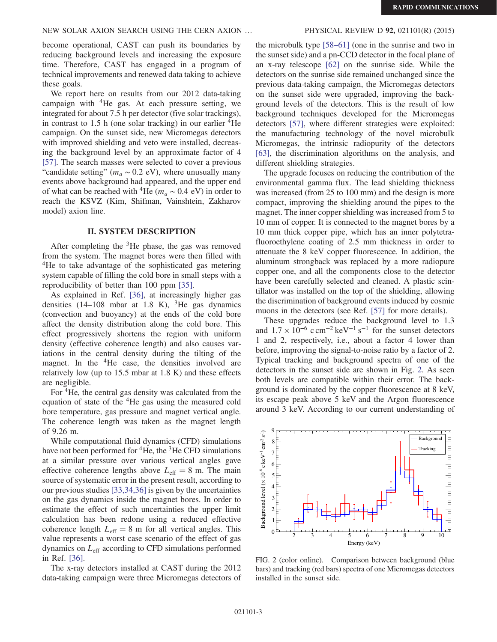### NEW SOLAR AXION SEARCH USING THE CERN AXION ... PHYSICAL REVIEW D 92, 021101(R) (2015)

become operational, CAST can push its boundaries by reducing background levels and increasing the exposure time. Therefore, CAST has engaged in a program of technical improvements and renewed data taking to achieve these goals.

We report here on results from our 2012 data-taking campaign with  ${}^{4}$ He gas. At each pressure setting, we integrated for about 7.5 h per detector (five solar trackings), in contrast to  $1.5$  h (one solar tracking) in our earlier  ${}^{4}$ He campaign. On the sunset side, new Micromegas detectors with improved shielding and veto were installed, decreasing the background level by an approximate factor of 4 [\[57\]](#page-5-15). The search masses were selected to cover a previous "candidate setting" ( $m_a \sim 0.2$  eV), where unusually many events above background had appeared, and the upper end of what can be reached with <sup>4</sup>He ( $m_a \sim 0.4$  eV) in order to reach the KSVZ (Kim, Shifman, Vainshtein, Zakharov model) axion line.

### **II. SYSTEM DESCRIPTION**  $\frac{1}{2}$

After completing the <sup>3</sup>He phase, the gas was removed from the system. The magnet bores were then filled with <sup>4</sup>He to take advantage of the sophisticated gas metering system capable of filling the cold bore in small steps with a reproducibility of better than 100 ppm [\[35\]](#page-5-12).

As explained in Ref. [\[36\],](#page-5-16) at increasingly higher gas densities  $(14-108$  mbar at 1.8 K), <sup>3</sup>He gas dynamics (convection and buoyancy) at the ends of the cold bore affect the density distribution along the cold bore. This effect progressively shortens the region with uniform density (effective coherence length) and also causes variations in the central density during the tilting of the magnet. In the  ${}^{4}$ He case, the densities involved are relatively low (up to 15.5 mbar at 1.8 K) and these effects are negligible.

For <sup>4</sup>He, the central gas density was calculated from the equation of state of the <sup>4</sup>He gas using the measured cold bore temperature, gas pressure and magnet vertical angle. The coherence length was taken as the magnet length of 9.26 m.

While computational fluid dynamics (CFD) simulations have not been performed for  ${}^{4}$ He, the  ${}^{3}$ He CFD simulations at a similar pressure over various vertical angles gave effective coherence lengths above  $L_{\text{eff}} = 8$  m. The main source of systematic error in the present result, according to our previous studies [\[33,34,36\]](#page-5-17) is given by the uncertainties on the gas dynamics inside the magnet bores. In order to estimate the effect of such uncertainties the upper limit calculation has been redone using a reduced effective coherence length  $L_{\text{eff}} = 8$  m for all vertical angles. This value represents a worst case scenario of the effect of gas dynamics on  $L_{\text{eff}}$  according to CFD simulations performed in Ref. [\[36\]](#page-5-16).

The x-ray detectors installed at CAST during the 2012 data-taking campaign were three Micromegas detectors of

the microbulk type [58–[61\]](#page-5-18) (one in the sunrise and two in the sunset side) and a pn-CCD detector in the focal plane of an x-ray telescope [\[62\]](#page-5-19) on the sunrise side. While the detectors on the sunrise side remained unchanged since the previous data-taking campaign, the Micromegas detectors on the sunset side were upgraded, improving the background levels of the detectors. This is the result of low background techniques developed for the Micromegas detectors [\[57\]](#page-5-15), where different strategies were exploited: the manufacturing technology of the novel microbulk Micromegas, the intrinsic radiopurity of the detectors [\[63\]](#page-5-20), the discrimination algorithms on the analysis, and different shielding strategies.

The upgrade focuses on reducing the contribution of the environmental gamma flux. The lead shielding thickness was increased (from 25 to 100 mm) and the design is more compact, improving the shielding around the pipes to the magnet. The inner copper shielding was increased from 5 to 10 mm of copper. It is connected to the magnet bores by a 10 mm thick copper pipe, which has an inner polytetrafluoroethylene coating of 2.5 mm thickness in order to attenuate the 8 keV copper fluorescence. In addition, the aluminum strongback was replaced by a more radiopure copper one, and all the components close to the detector have been carefully selected and cleaned. A plastic scintillator was installed on the top of the shielding, allowing the discrimination of background events induced by cosmic muons in the detectors (see Ref. [\[57\]](#page-5-15) for more details).

These upgrades reduce the background level to 1.3 and  $1.7 \times 10^{-6}$  c cm<sup>-2</sup> keV<sup>-1</sup> s<sup>-1</sup> for the sunset detectors 1 and 2, respectively, i.e., about a factor 4 lower than before, improving the signal-to-noise ratio by a factor of 2. Typical tracking and background spectra of one of the detectors in the sunset side are shown in Fig. [2.](#page-2-0) As seen both levels are compatible within their error. The background is dominated by the copper fluorescence at 8 keV, its escape peak above 5 keV and the Argon fluorescence around 3 keV. According to our current understanding of

<span id="page-2-0"></span>

FIG. 2 (color online). Comparison between background (blue bars) and tracking (red bars) spectra of one Micromegas detectors installed in the sunset side.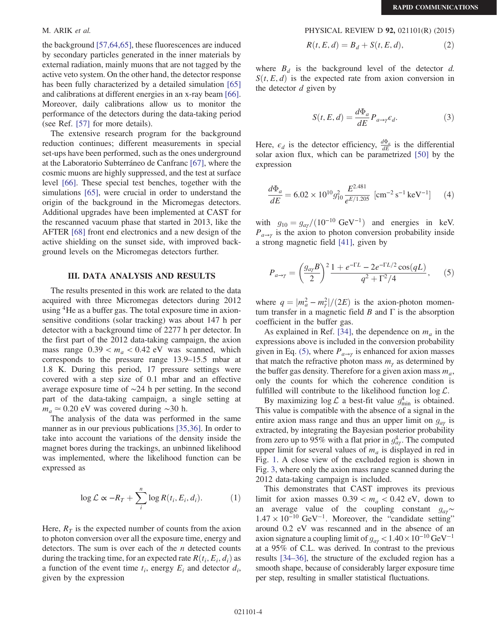the background [\[57,64,65\]](#page-5-15), these fluorescences are induced by secondary particles generated in the inner materials by external radiation, mainly muons that are not tagged by the active veto system. On the other hand, the detector response has been fully characterized by a detailed simulation [\[65\]](#page-5-21) and calibrations at different energies in an x-ray beam [\[66\]](#page-5-22). Moreover, daily calibrations allow us to monitor the performance of the detectors during the data-taking period (see Ref. [\[57\]](#page-5-15) for more details).

The extensive research program for the background reduction continues; different measurements in special set-ups have been performed, such as the ones underground at the Laboratorio Subterráneo de Canfranc [\[67\]](#page-5-23), where the cosmic muons are highly suppressed, and the test at surface level [\[66\].](#page-5-22) These special test benches, together with the simulations [\[65\]](#page-5-21), were crucial in order to understand the origin of the background in the Micromegas detectors. Additional upgrades have been implemented at CAST for the rescanned vacuum phase that started in 2013, like the AFTER [\[68\]](#page-5-24) front end electronics and a new design of the active shielding on the sunset side, with improved background levels on the Micromegas detectors further.

## III. DATA ANALYSIS AND RESULTS

The results presented in this work are related to the data acquired with three Micromegas detectors during 2012 using <sup>4</sup>He as a buffer gas. The total exposure time in axionsensitive conditions (solar tracking) was about 147 h per detector with a background time of 2277 h per detector. In the first part of the 2012 data-taking campaign, the axion mass range  $0.39 < m_a < 0.42$  eV was scanned, which corresponds to the pressure range 13.9–15.5 mbar at 1.8 K. During this period, 17 pressure settings were covered with a step size of 0.1 mbar and an effective average exposure time of ∼24 h per setting. In the second part of the data-taking campaign, a single setting at  $m_a \approx 0.20$  eV was covered during ~30 h.

The analysis of the data was performed in the same manner as in our previous publications [\[35,36\]](#page-5-12). In order to take into account the variations of the density inside the magnet bores during the trackings, an unbinned likelihood was implemented, where the likelihood function can be expressed as

$$
\log \mathcal{L} \propto -R_T + \sum_{i}^{n} \log R(t_i, E_i, d_i). \tag{1}
$$

Here,  $R_T$  is the expected number of counts from the axion to photon conversion over all the exposure time, energy and detectors. The sum is over each of the  $n$  detected counts during the tracking time, for an expected rate  $R(t_i, E_i, d_i)$  as a function of the event time  $t_i$ , energy  $E_i$  and detector  $d_i$ , given by the expression

M. ARIK et al. PHYSICAL REVIEW D 92, 021101(R) (2015)

$$
R(t, E, d) = B_d + S(t, E, d),
$$
 (2)

where  $B_d$  is the background level of the detector d.  $S(t, E, d)$  is the expected rate from axion conversion in the detector  $d$  given by

$$
S(t, E, d) = \frac{d\Phi_a}{dE} P_{a \to \gamma} \epsilon_d.
$$
 (3)

Here,  $\epsilon_d$  is the detector efficiency,  $\frac{d\Phi_a}{dE}$  is the differential solar axion flux, which can be parametrized [\[50\]](#page-5-13) by the expression

$$
\frac{d\Phi_a}{dE} = 6.02 \times 10^{10} g_{10}^2 \frac{E^{2.481}}{e^{E/1.205}} \text{ [cm}^{-2} \text{ s}^{-1} \text{ keV}^{-1} \text{]} \tag{4}
$$

<span id="page-3-0"></span>with  $g_{10} = g_{a\gamma}/(10^{-10} \text{ GeV}^{-1})$  and energies in keV.  $P_{a\rightarrow\gamma}$  is the axion to photon conversion probability inside a strong magnetic field [\[41\]](#page-5-6), given by

$$
P_{a \to \gamma} = \left(\frac{g_{a\gamma}B}{2}\right)^2 \frac{1 + e^{-\Gamma L} - 2e^{-\Gamma L/2}\cos(qL)}{q^2 + \Gamma^2/4},\qquad(5)
$$

where  $q = |m_a^2 - m_\gamma^2|/(2E)$  is the axion-photon momentum transfer in a magnetic field  $B$  and  $\Gamma$  is the absorption coefficient in the buffer gas.

As explained in Ref. [\[34\],](#page-5-11) the dependence on  $m_a$  in the expressions above is included in the conversion probability given in Eq. [\(5\),](#page-3-0) where  $P_{a\rightarrow\gamma}$  is enhanced for axion masses that match the refractive photon mass  $m_{\gamma}$  as determined by the buffer gas density. Therefore for a given axion mass  $m_a$ , only the counts for which the coherence condition is fulfilled will contribute to the likelihood function  $\log \mathcal{L}$ .

By maximizing  $\log \mathcal{L}$  a best-fit value  $g_{\min}^4$  is obtained. This value is compatible with the absence of a signal in the entire axion mass range and thus an upper limit on  $g_{\alpha\nu}$  is extracted, by integrating the Bayesian posterior probability from zero up to 95% with a flat prior in  $g_{a\gamma}^4$ . The computed upper limit for several values of  $m_a$  is displayed in red in Fig. [1.](#page-1-0) A close view of the excluded region is shown in Fig. [3](#page-4-4), where only the axion mass range scanned during the 2012 data-taking campaign is included.

This demonstrates that CAST improves its previous limit for axion masses  $0.39 < m_a < 0.42$  eV, down to an average value of the coupling constant  $g_{a\gamma}$ ~  $1.47 \times 10^{-10}$  GeV<sup>-1</sup>. Moreover, the "candidate setting" around 0.2 eV was rescanned and in the absence of an axion signature a coupling limit of  $g_{\text{av}} < 1.40 \times 10^{-10} \text{ GeV}^{-1}$ at a 95% of C.L. was derived. In contrast to the previous results [\[34](#page-5-11)–36], the structure of the excluded region has a smooth shape, because of considerably larger exposure time per step, resulting in smaller statistical fluctuations.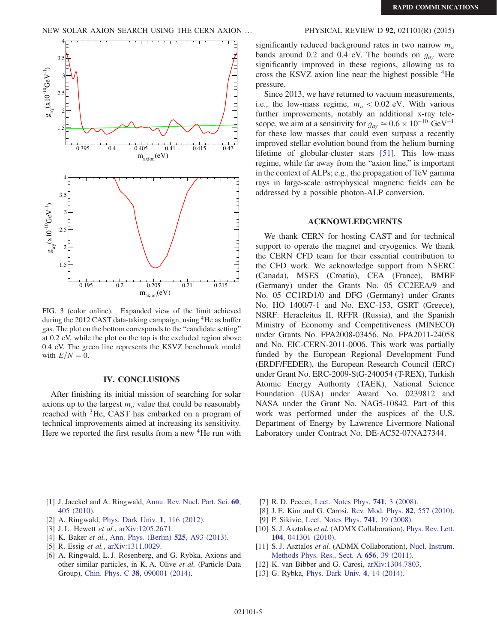<span id="page-4-4"></span>

FIG. 3 (color online). Expanded view of the limit achieved during the 2012 CAST data-taking campaign, using <sup>4</sup>He as buffer gas. The plot on the bottom corresponds to the "candidate setting" at 0.2 eV, while the plot on the top is the excluded region above 0.4 eV. The green line represents the KSVZ benchmark model with  $E/N = 0$ .

## IV. CONCLUSIONS

After finishing its initial mission of searching for solar axions up to the largest  $m_a$  value that could be reasonably reached with <sup>3</sup>He, CAST has embarked on a program of technical improvements aimed at increasing its sensitivity. Here we reported the first results from a new <sup>4</sup>He run with

significantly reduced background rates in two narrow  $m_a$ bands around 0.2 and 0.4 eV. The bounds on  $g_{a\gamma}$  were significantly improved in these regions, allowing us to cross the KSVZ axion line near the highest possible <sup>4</sup>He pressure.

Since 2013, we have returned to vacuum measurements, i.e., the low-mass regime,  $m_a < 0.02$  eV. With various further improvements, notably an additional x-ray telescope, we aim at a sensitivity for  $g_{\alpha\gamma} \simeq 0.6 \times 10^{-10} \text{ GeV}^{-1}$ for these low masses that could even surpass a recently improved stellar-evolution bound from the helium-burning lifetime of globular-cluster stars [\[51\]](#page-5-25). This low-mass regime, while far away from the "axion line," is important in the context of ALPs; e.g., the propagation of TeV gamma rays in large-scale astrophysical magnetic fields can be addressed by a possible photon-ALP conversion.

## ACCEPT CHEMICS

We thank CERN for hosting CAST and for technical support to operate the magnet and cryogenics. We thank the CERN CFD team for their essential contribution to the CFD work. We acknowledge support from NSERC (Canada), MSES (Croatia), CEA (France), BMBF (Germany) under the Grants No. 05 CC2EEA/9 and No. 05 CC1RD1/0 and DFG (Germany) under Grants No. HO 1400/7-1 and No. EXC-153, GSRT (Greece), NSRF: Heracleitus II, RFFR (Russia), and the Spanish Ministry of Economy and Competitiveness (MINECO) under Grants No. FPA2008-03456, No. FPA2011-24058 and No. EIC-CERN-2011-0006. This work was partially funded by the European Regional Development Fund (ERDF/FEDER), the European Research Council (ERC) under Grant No. ERC-2009-StG-240054 (T-REX), Turkish Atomic Energy Authority (TAEK), National Science Foundation (USA) under Award No. 0239812 and NASA under the Grant No. NAG5-10842. Part of this work was performed under the auspices of the U.S. Department of Energy by Lawrence Livermore National Laboratory under Contract No. DE-AC52-07NA27344.

- <span id="page-4-0"></span>[1] J. Jaeckel and A. Ringwald, [Annu. Rev. Nucl. Part. Sci.](http://dx.doi.org/10.1146/annurev.nucl.012809.104433) 60, [405 \(2010\)](http://dx.doi.org/10.1146/annurev.nucl.012809.104433).
- [2] A. Ringwald, *[Phys. Dark Univ.](http://dx.doi.org/10.1016/j.dark.2012.10.008)* **1**, 116 (2012).
- [3] J.L. Hewett *et al.*, [arXiv:1205.2671.](http://arXiv.org/abs/1205.2671)
- [4] K. Baker *et al.*, [Ann. Phys. \(Berlin\)](http://dx.doi.org/10.1002/andp.201300727) **525**, A93 (2013).
- [5] R. Essig et al., [arXiv:1311.0029.](http://arXiv.org/abs/1311.0029)
- [6] A. Ringwald, L. J. Rosenberg, and G. Rybka, Axions and other similar particles, in K. A. Olive et al. (Particle Data Group), Chin. Phys. C 38[, 090001 \(2014\).](http://dx.doi.org/10.1088/1674-1137/38/9/090001)
- <span id="page-4-1"></span>[7] R. D. Peccei, [Lect. Notes Phys.](http://dx.doi.org/10.1007/978-3-540-73518-2) **741**, 3 (2008).
- [8] J. E. Kim and G. Carosi, [Rev. Mod. Phys.](http://dx.doi.org/10.1103/RevModPhys.82.557) 82, 557 (2010).
- <span id="page-4-2"></span>[9] P. Sikivie, [Lect. Notes Phys.](http://dx.doi.org/10.1007/978-3-540-73518-2) 741, 19 (2008).
- <span id="page-4-3"></span>[10] S. J. Asztalos et al. (ADMX Collaboration), [Phys. Rev. Lett.](http://dx.doi.org/10.1103/PhysRevLett.104.041301) 104[, 041301 \(2010\).](http://dx.doi.org/10.1103/PhysRevLett.104.041301)
- [11] S. J. Asztalos et al. (ADMX Collaboration), [Nucl. Instrum.](http://dx.doi.org/10.1016/j.nima.2011.07.019) [Methods Phys. Res., Sect. A](http://dx.doi.org/10.1016/j.nima.2011.07.019) 656, 39 (2011).
- [12] K. van Bibber and G. Carosi, [arXiv:1304.7803.](http://arXiv.org/abs/1304.7803)
- [13] G. Rybka, *[Phys. Dark Univ.](http://dx.doi.org/10.1016/j.dark.2014.05.003)* 4, 14 (2014).